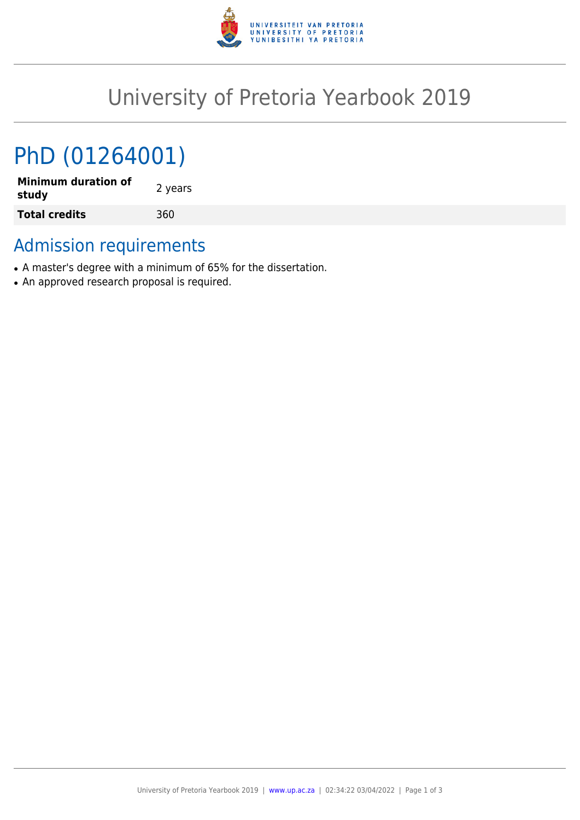

## University of Pretoria Yearbook 2019

# PhD (01264001)

**Minimum duration of study** 2 years **Total credits** 360

## Admission requirements

- A master's degree with a minimum of 65% for the dissertation.
- An approved research proposal is required.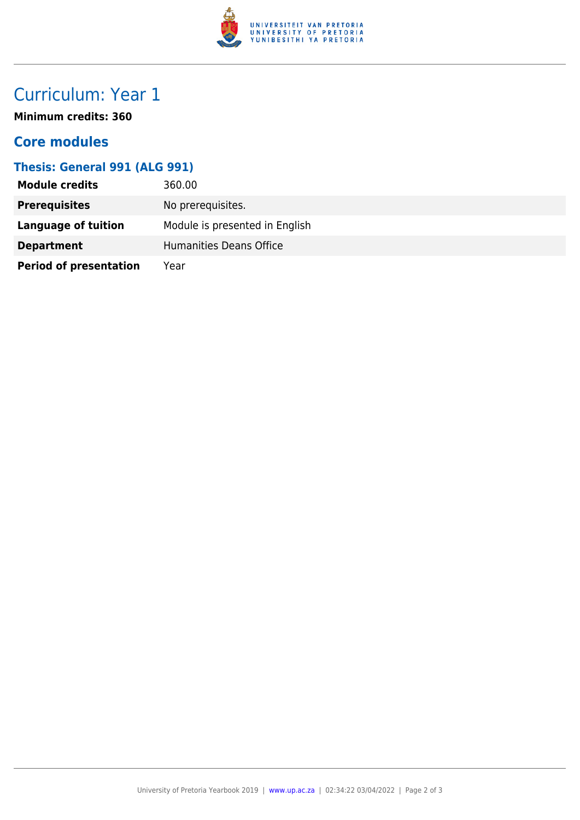

## Curriculum: Year 1

**Minimum credits: 360**

#### **Core modules**

#### **Thesis: General 991 (ALG 991)**

| <b>Module credits</b>         | 360.00                         |
|-------------------------------|--------------------------------|
| <b>Prerequisites</b>          | No prerequisites.              |
| Language of tuition           | Module is presented in English |
| <b>Department</b>             | Humanities Deans Office        |
| <b>Period of presentation</b> | Year                           |